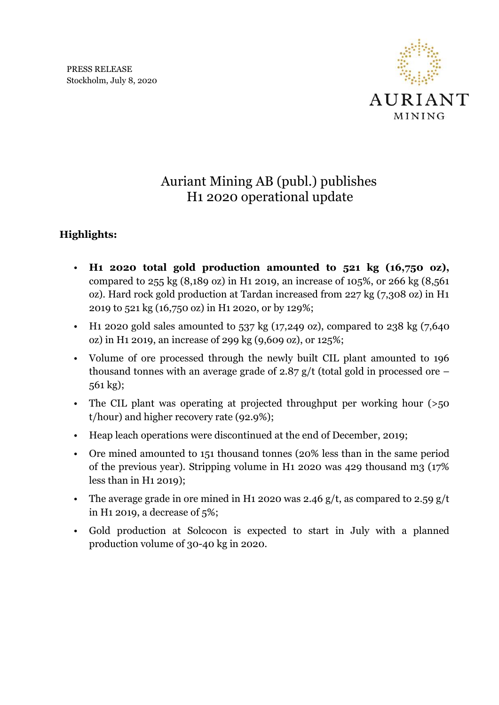

## Auriant Mining AB (publ.) publishes H1 2020 operational update

## **Highlights:**

- **H1 2020 total gold production amounted to 521 kg (16,750 oz),** compared to 255 kg (8,189 oz) in H1 2019, an increase of 105%, or 266 kg (8,561 oz). Hard rock gold production at Tardan increased from 227 kg (7,308 oz) in H1 2019 to 521 kg (16,750 oz) in H1 2020, or by 129%;
- H<sub>1</sub> 2020 gold sales amounted to  $537 \text{ kg}$  (17,249 oz), compared to 238 kg (7,640 oz) in H1 2019, an increase of 299 kg (9,609 oz), or 125%;
- Volume of ore processed through the newly built CIL plant amounted to 196 thousand tonnes with an average grade of  $2.87$  g/t (total gold in processed ore – 561 kg);
- The CIL plant was operating at projected throughput per working hour (>50 t/hour) and higher recovery rate (92.9%);
- Heap leach operations were discontinued at the end of December, 2019;
- Ore mined amounted to 151 thousand tonnes (20% less than in the same period of the previous year). Stripping volume in H1 2020 was 429 thousand m3 (17% less than in H1 2019);
- The average grade in ore mined in H<sub>1</sub> 2020 was 2.46 g/t, as compared to 2.59 g/t in H1 2019, a decrease of 5%;
- Gold production at Solcocon is expected to start in July with a planned production volume of 30-40 kg in 2020.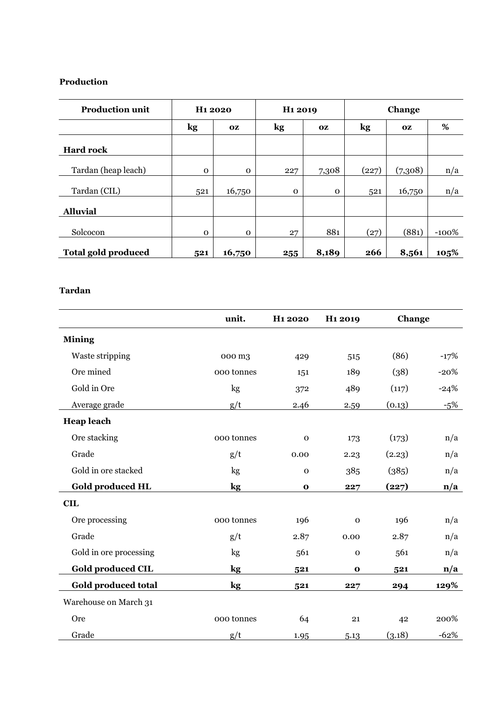## **Production**

| <b>Production unit</b>     | H <sub>1</sub> 2020 |           | H <sub>1</sub> 2019 |             | Change |           |         |
|----------------------------|---------------------|-----------|---------------------|-------------|--------|-----------|---------|
|                            | kg                  | <b>OZ</b> | kg                  | <b>OZ</b>   | kg     | <b>OZ</b> | %       |
| <b>Hard rock</b>           |                     |           |                     |             |        |           |         |
| Tardan (heap leach)        | $\Omega$            | $\Omega$  | 227                 | 7,308       | (227)  | (7,308)   | n/a     |
| Tardan (CIL)               | 521                 | 16,750    | $\mathbf{O}$        | $\mathbf 0$ | 521    | 16,750    | n/a     |
| <b>Alluvial</b>            |                     |           |                     |             |        |           |         |
| Solcocon                   | $\mathbf{O}$        | $\Omega$  | 27                  | 881         | (27)   | (881)     | $-100%$ |
| <b>Total gold produced</b> | 521                 | 16,750    | 255                 | 8,189       | 266    | 8,561     | 105%    |

## **Tardan**

|                            | unit.         | H <sub>1</sub> 2020 | H <sub>1</sub> 2019 | Change |                         |
|----------------------------|---------------|---------------------|---------------------|--------|-------------------------|
| <b>Mining</b>              |               |                     |                     |        |                         |
| Waste stripping            | 000 m3        | 429                 | 515                 | (86)   | $-17%$                  |
| Ore mined                  | 000 tonnes    | 151                 | 189                 | (38)   | $-20%$                  |
| Gold in Ore                | kg            | 372                 | 489                 | (117)  | $-24%$                  |
| Average grade              | g/t           | 2.46                | 2.59                | (0.13) | $-5%$                   |
| <b>Heap leach</b>          |               |                     |                     |        |                         |
| Ore stacking               | 000 tonnes    | $\mathbf 0$         | 173                 | (173)  | n/a                     |
| Grade                      | g/t           | 0.00                | 2.23                | (2.23) | n/a                     |
| Gold in ore stacked        | kg            | $\mathbf 0$         | 385                 | (385)  | n/a                     |
| <b>Gold produced HL</b>    | $\mathbf{kg}$ | $\mathbf{o}$        | 227                 | (227)  | n/a                     |
| <b>CIL</b>                 |               |                     |                     |        |                         |
| Ore processing             | 000 tonnes    | 196                 | $\mathbf 0$         | 196    | n/a                     |
| Grade                      | g/t           | 2.87                | 0.00                | 2.87   | n/a                     |
| Gold in ore processing     | kg            | 561                 | $\mathbf 0$         | 561    | n/a                     |
| <b>Gold produced CIL</b>   | kg            | 521                 | $\mathbf 0$         | 521    | $\mathbf{n}/\mathbf{a}$ |
| <b>Gold produced total</b> | kg            | 521                 | 227                 | 294    | 129%                    |
| Warehouse on March 31      |               |                     |                     |        |                         |
| Ore                        | 000 tonnes    | 64                  | 21                  | 42     | 200%                    |
| Grade                      | g/t           | 1.95                | 5.13                | (3.18) | $-62%$                  |